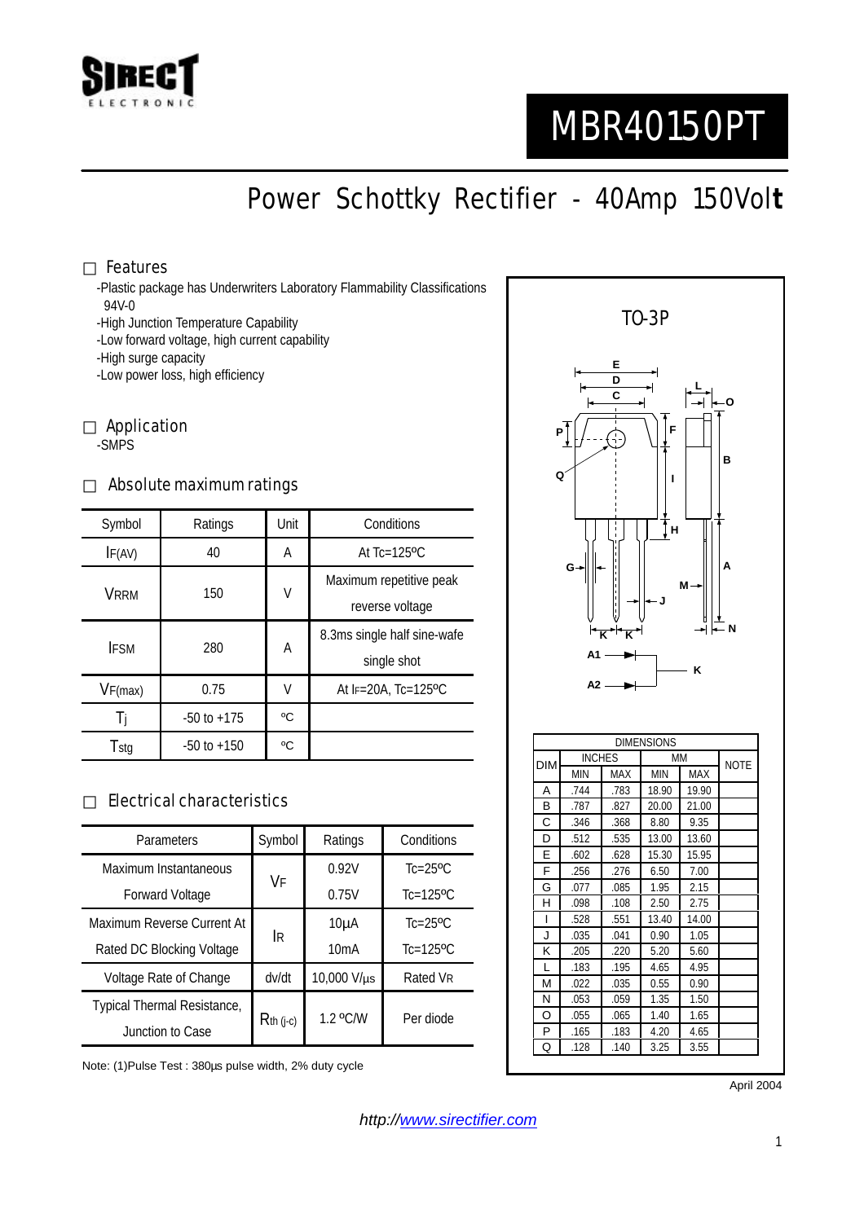

# MBR40150PT

# Power Schottky Rectifier - 40Amp 150Vol**t**

#### Features

-Plastic package has Underwriters Laboratory Flammability Classifications 94V-0

-High Junction Temperature Capability

-Low forward voltage, high current capability

-High surge capacity

-Low power loss, high efficiency

Application -SMPS

#### Absolute maximum ratings

| Symbol      | Ratings         | Unit | Conditions                   |  |
|-------------|-----------------|------|------------------------------|--|
| IF(AV)      | 40              | A    | At $Tc=125$ <sup>o</sup> $C$ |  |
| <b>VRRM</b> | 150             | V    | Maximum repetitive peak      |  |
|             |                 |      | reverse voltage              |  |
| <b>IFSM</b> | 280             | A    | 8.3ms single half sine-wafe  |  |
|             |                 |      | single shot                  |  |
| VF(max)     | 0.75            | V    | At $F = 20A$ , Tc=125°C      |  |
|             | $-50$ to $+175$ | °C   |                              |  |
| Tstg        | $-50$ to $+150$ | °C   |                              |  |

#### Electrical characteristics

| Parameters                  | Symbol      | Ratings     | Conditions                |
|-----------------------------|-------------|-------------|---------------------------|
| Maximum Instantaneous       | VF          | 0.92V       | $Tc=25$ <sup>o</sup> $C$  |
| <b>Forward Voltage</b>      |             | 0.75V       | $Tc=125$ <sup>o</sup> $C$ |
| Maximum Reverse Current At  | İR          | $10\mu A$   | $Tc=25$ <sup>o</sup> $C$  |
| Rated DC Blocking Voltage   |             | 10mA        | $Tc=125$ <sup>o</sup> C   |
| Voltage Rate of Change      | dv/dt       | 10,000 V/µs | Rated VR                  |
| Typical Thermal Resistance, | $Rth$ (j-c) | 1.2 °C/W    | Per diode                 |
| Junction to Case            |             |             |                           |

Note: (1)Pulse Test : 380µs pulse width, 2% duty cycle



April 2004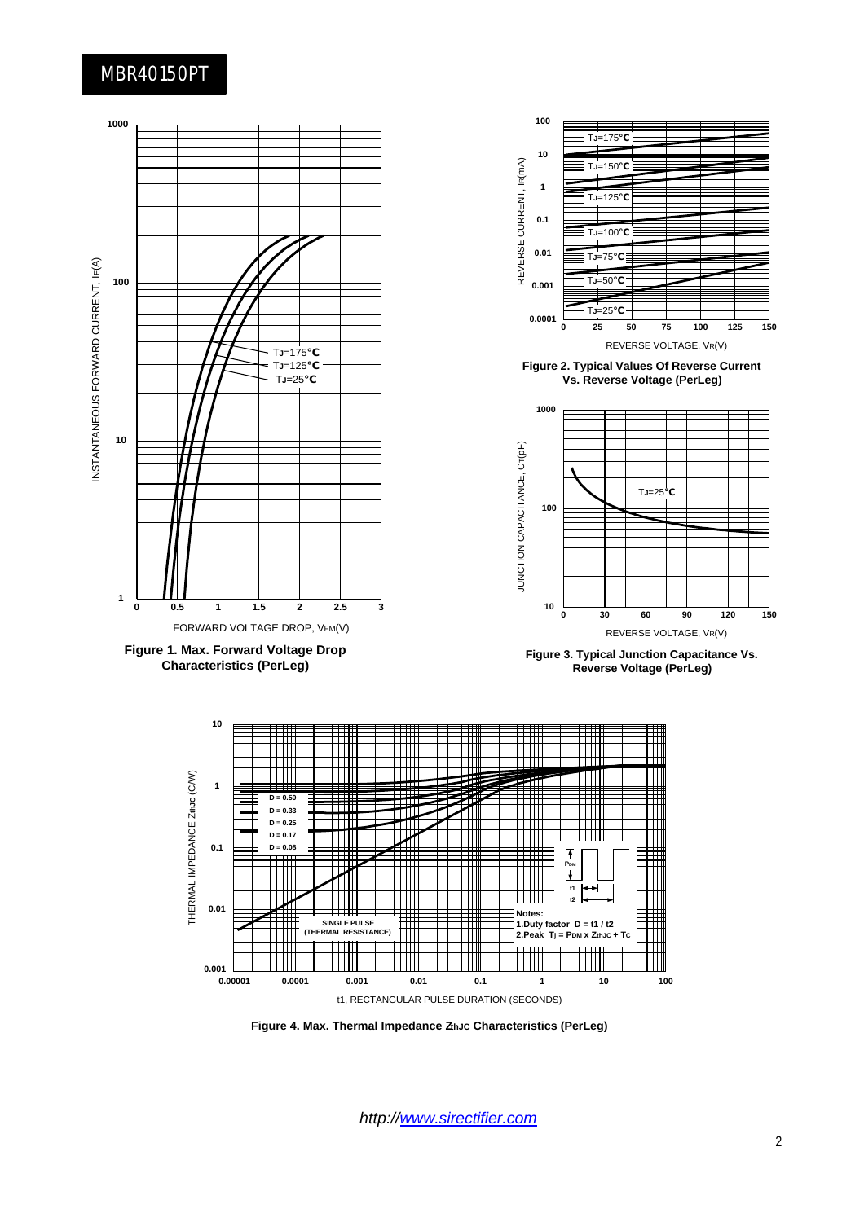### MBR40150PT



**Figure 4. Max. Thermal Impedance ZthJC Characteristics (PerLeg)**

*http://www.sirectifier.com*